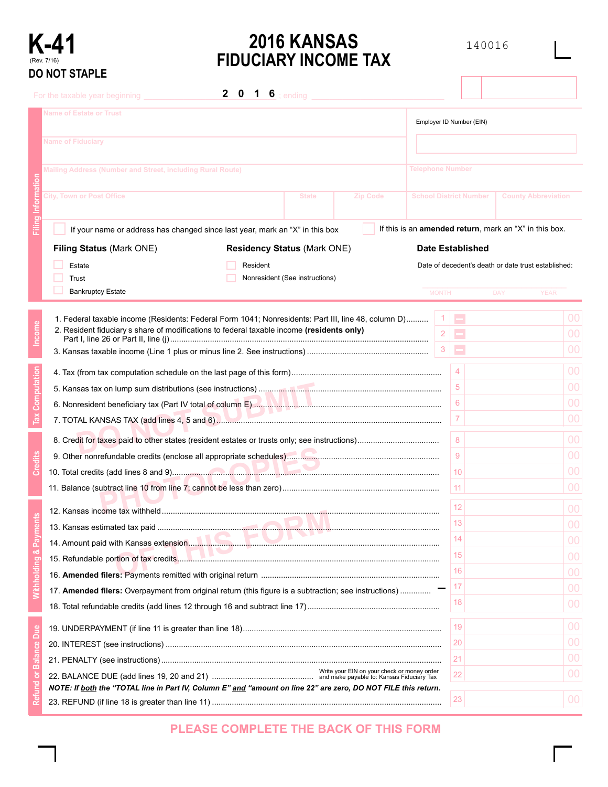

# **K-41 2016 KANSAS** <sup>140016</sup> **FIDUCIARY INCOME TAX**

|     | JU INUT JIAFLE                                                                                                                                                                                   |                               |                                                                |  |
|-----|--------------------------------------------------------------------------------------------------------------------------------------------------------------------------------------------------|-------------------------------|----------------------------------------------------------------|--|
|     | $\mathbf{2}$<br>- 0<br>1 $6$ ; ending<br>For the taxable year beginning                                                                                                                          |                               |                                                                |  |
|     | <b>Name of Estate or Trust</b>                                                                                                                                                                   | Employer ID Number (EIN)      |                                                                |  |
|     | <b>Name of Fiduciary</b>                                                                                                                                                                         |                               |                                                                |  |
|     | Mailing Address (Number and Street, including Rural Route)                                                                                                                                       | <b>Telephone Number</b>       |                                                                |  |
|     |                                                                                                                                                                                                  |                               |                                                                |  |
|     | City, Town or Post Office<br><b>State</b><br><b>Zip Code</b>                                                                                                                                     | <b>School District Number</b> | <b>County Abbreviation</b>                                     |  |
|     | If your name or address has changed since last year, mark an "X" in this box                                                                                                                     |                               | If this is an <b>amended return</b> , mark an "X" in this box. |  |
|     | <b>Residency Status (Mark ONE)</b><br>Filing Status (Mark ONE)                                                                                                                                   | <b>Date Established</b>       |                                                                |  |
|     | Resident<br>Estate                                                                                                                                                                               |                               | Date of decedent's death or date trust established:            |  |
|     | Nonresident (See instructions)<br>Trust                                                                                                                                                          |                               |                                                                |  |
|     | <b>Bankruptcy Estate</b>                                                                                                                                                                         | <b>MONTH</b>                  | <b>DAY</b><br><b>YEAR</b>                                      |  |
|     |                                                                                                                                                                                                  |                               |                                                                |  |
|     | 1. Federal taxable income (Residents: Federal Form 1041; Nonresidents: Part III, line 48, column D)<br>2. Resident fiduciary s share of modifications to federal taxable income (residents only) | Ξ                             | 00                                                             |  |
|     |                                                                                                                                                                                                  | Ξ<br>2                        | 00                                                             |  |
|     |                                                                                                                                                                                                  | Е<br>3                        | 00                                                             |  |
|     |                                                                                                                                                                                                  | 4                             | 00                                                             |  |
|     |                                                                                                                                                                                                  | 5                             | 00                                                             |  |
|     |                                                                                                                                                                                                  | 6                             | 00                                                             |  |
|     |                                                                                                                                                                                                  | 7                             | 00                                                             |  |
|     |                                                                                                                                                                                                  |                               |                                                                |  |
|     |                                                                                                                                                                                                  | 8                             | 00                                                             |  |
|     |                                                                                                                                                                                                  | 9                             | 00                                                             |  |
|     |                                                                                                                                                                                                  | 10                            | 00                                                             |  |
|     |                                                                                                                                                                                                  | 11 <sub>1</sub>               | 00                                                             |  |
|     |                                                                                                                                                                                                  | 12 <sub>2</sub>               | 00                                                             |  |
|     |                                                                                                                                                                                                  | 13                            | 00                                                             |  |
|     |                                                                                                                                                                                                  | 14                            | 00                                                             |  |
|     |                                                                                                                                                                                                  | 15 <sub>15</sub>              | 00                                                             |  |
|     |                                                                                                                                                                                                  | 16                            | 00                                                             |  |
|     | 17. Amended filers: Overpayment from original return (this figure is a subtraction; see instructions)                                                                                            | 17                            | 00                                                             |  |
|     |                                                                                                                                                                                                  | 18                            | 00                                                             |  |
|     |                                                                                                                                                                                                  |                               |                                                                |  |
| Due |                                                                                                                                                                                                  | 19                            | 0 <sup>0</sup>                                                 |  |
|     |                                                                                                                                                                                                  | 20                            | 00                                                             |  |
|     |                                                                                                                                                                                                  | 21                            | 00                                                             |  |
|     |                                                                                                                                                                                                  | 22                            | 00                                                             |  |
|     | NOTE: If <b>both</b> the "TOTAL line in Part IV, Column E" and "amount on line 22" are zero, DO NOT FILE this return.                                                                            | 23                            | 0 <sup>0</sup>                                                 |  |
|     |                                                                                                                                                                                                  |                               |                                                                |  |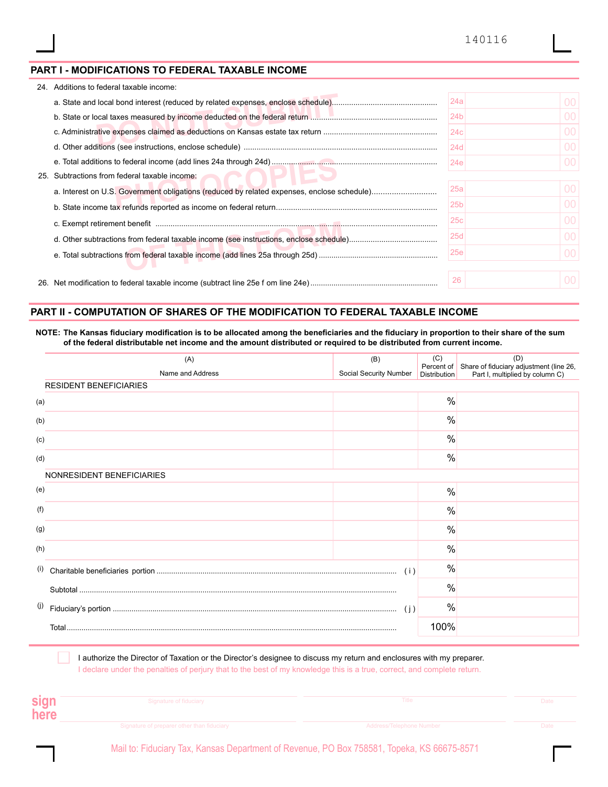#### **PART I - MODIFICATIONS TO FEDERAL TAXABLE INCOME**

| 24. | Additions to federal taxable income:      |                 |         |
|-----|-------------------------------------------|-----------------|---------|
|     |                                           | 24a             | $00 \,$ |
|     |                                           | 24 <sub>b</sub> | 00      |
|     |                                           | 24c             | $00 \,$ |
|     |                                           | 24d             | 00      |
|     |                                           | 24e             | 00.     |
| 25. | Subtractions from federal taxable income: |                 |         |
|     |                                           | 25a             | 00      |
|     |                                           | 25 <sub>b</sub> | 00      |
|     |                                           | 25c             | 00      |
|     |                                           | 25d             | $00 \,$ |
|     |                                           | 25e             | 00      |
|     |                                           | 26              | 00.     |

### **PART II - COMPUTATION OF SHARES OF THE MODIFICATION TO FEDERAL TAXABLE INCOME**

**NOTE: The Kansas fiduciary modification is to be allocated among the beneficiaries and the fiduciary in proportion to their share of the sum of the federal distributable net income and the amount distributed or required to be distributed from current income.** 

|     | (A)                           | (B)                    | (C)           | (D)                                                                                                |
|-----|-------------------------------|------------------------|---------------|----------------------------------------------------------------------------------------------------|
|     | Name and Address              | Social Security Number | Distribution  | Percent of Share of fiduciary adjustment (line 26,<br>Distribution Part I, multiplied by column C) |
|     | <b>RESIDENT BENEFICIARIES</b> |                        |               |                                                                                                    |
| (a) |                               |                        | $\frac{0}{0}$ |                                                                                                    |
| (b) |                               |                        | $\%$          |                                                                                                    |
| (c) |                               |                        | $\frac{0}{0}$ |                                                                                                    |
| (d) |                               |                        | $\frac{0}{0}$ |                                                                                                    |
|     | NONRESIDENT BENEFICIARIES     |                        |               |                                                                                                    |
| (e) |                               |                        | $\frac{0}{0}$ |                                                                                                    |
| (f) |                               |                        | $\%$          |                                                                                                    |
| (g) |                               |                        | $\frac{0}{0}$ |                                                                                                    |
| (h) |                               |                        | $\frac{0}{0}$ |                                                                                                    |
| (i) |                               | (i)                    | $\%$          |                                                                                                    |
|     |                               |                        | $\frac{0}{0}$ |                                                                                                    |
| (j) | (j)                           |                        | $\frac{0}{0}$ |                                                                                                    |
|     |                               |                        | 100%          |                                                                                                    |
|     |                               |                        |               |                                                                                                    |

I authorize the Director of Taxation or the Director's designee to discuss my return and enclosures with my preparer. I declare under the penalties of perjury that to the best of my knowledge this is a true, correct, and complete return.

| sign<br>here | Signature of fiduciary                     | Title                    | Date |
|--------------|--------------------------------------------|--------------------------|------|
|              | Signature of preparer other than fiduciary | Address/Telephone Number | Date |

Mail to: Fiduciary Tax, Kansas Department of Revenue, PO Box 758581, Topeka, KS 66675-8571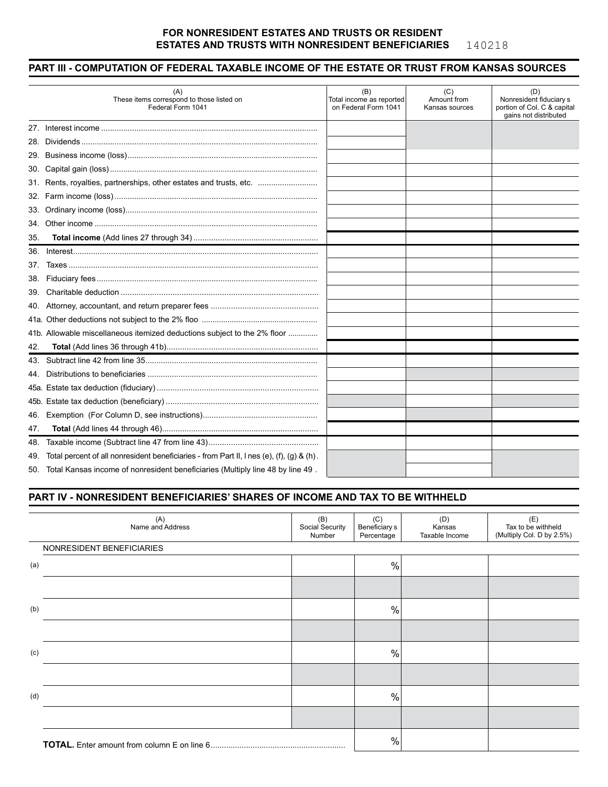#### **FOR NONRESIDENT ESTATES AND TRUSTS OR RESIDENT ESTATES AND TRUSTS WITH NONRESIDENT BENEFICIARIES** 140218

## **PART III - COMPUTATION OF FEDERAL TAXABLE INCOME OF THE ESTATE OR TRUST FROM KANSAS SOURCES**

|     | (A)<br>These items correspond to those listed on<br>Federal Form 1041                     | (B)<br>Total income as reported<br>on Federal Form 1041 | (C)<br>Amount from<br>Kansas sources | (D)<br>Nonresident fiduciary s<br>portion of Col. C & capital<br>gains not distributed |
|-----|-------------------------------------------------------------------------------------------|---------------------------------------------------------|--------------------------------------|----------------------------------------------------------------------------------------|
|     |                                                                                           |                                                         |                                      |                                                                                        |
| 28. |                                                                                           |                                                         |                                      |                                                                                        |
|     |                                                                                           |                                                         |                                      |                                                                                        |
|     |                                                                                           |                                                         |                                      |                                                                                        |
|     | 31. Rents, royalties, partnerships, other estates and trusts, etc.                        |                                                         |                                      |                                                                                        |
|     |                                                                                           |                                                         |                                      |                                                                                        |
|     |                                                                                           |                                                         |                                      |                                                                                        |
|     |                                                                                           |                                                         |                                      |                                                                                        |
| 35. |                                                                                           |                                                         |                                      |                                                                                        |
| 36. |                                                                                           |                                                         |                                      |                                                                                        |
| 37. |                                                                                           |                                                         |                                      |                                                                                        |
| 38. |                                                                                           |                                                         |                                      |                                                                                        |
| 39. |                                                                                           |                                                         |                                      |                                                                                        |
| 40. |                                                                                           |                                                         |                                      |                                                                                        |
|     |                                                                                           |                                                         |                                      |                                                                                        |
|     | 41b. Allowable miscellaneous itemized deductions subject to the 2% floor                  |                                                         |                                      |                                                                                        |
| 42. |                                                                                           |                                                         |                                      |                                                                                        |
| 43. |                                                                                           |                                                         |                                      |                                                                                        |
| 44. |                                                                                           |                                                         |                                      |                                                                                        |
|     |                                                                                           |                                                         |                                      |                                                                                        |
|     |                                                                                           |                                                         |                                      |                                                                                        |
| 46. |                                                                                           |                                                         |                                      |                                                                                        |
| 47. |                                                                                           |                                                         |                                      |                                                                                        |
| 48. |                                                                                           |                                                         |                                      |                                                                                        |
| 49. | Total percent of all nonresident beneficiaries - from Part II, I nes (e), (f), (g) & (h). |                                                         |                                      |                                                                                        |
|     | 50. Total Kansas income of nonresident beneficiaries (Multiply line 48 by line 49.        |                                                         |                                      |                                                                                        |
|     |                                                                                           |                                                         |                                      |                                                                                        |

### **PART IV - NONRESIDENT BENEFICIARIES' SHARES OF INCOME AND TAX TO BE WITHHELD**

| (A)<br>Name and Address   | (B)<br>Social Security<br>Number | (C)<br>Beneficiary s<br>Percentage | (D)<br>Kansas<br>Taxable Income | (E)<br>Tax to be withheld<br>(Multiply Col. D by 2.5%) |
|---------------------------|----------------------------------|------------------------------------|---------------------------------|--------------------------------------------------------|
| NONRESIDENT BENEFICIARIES |                                  |                                    |                                 |                                                        |
| (a)                       |                                  | $\frac{0}{0}$                      |                                 |                                                        |
|                           |                                  |                                    |                                 |                                                        |
| (b)                       |                                  | %                                  |                                 |                                                        |
|                           |                                  |                                    |                                 |                                                        |
| (c)                       |                                  | $\%$                               |                                 |                                                        |
|                           |                                  |                                    |                                 |                                                        |
| (d)                       |                                  | $\%$                               |                                 |                                                        |
|                           |                                  |                                    |                                 |                                                        |
|                           |                                  | %                                  |                                 |                                                        |